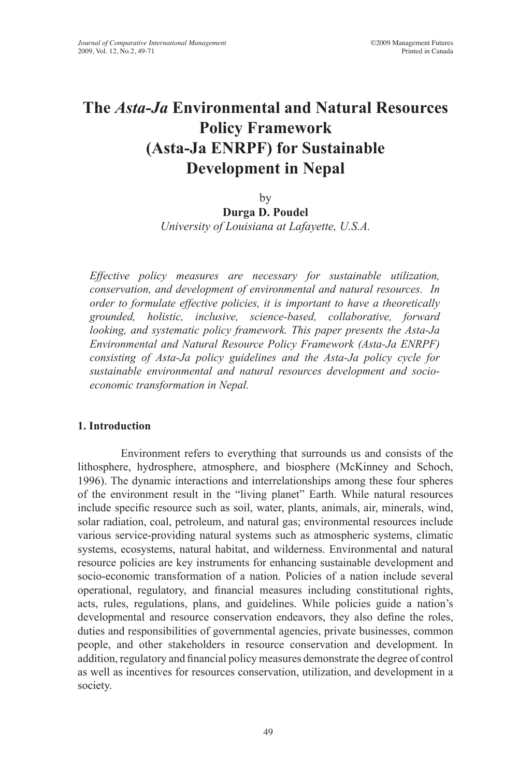# **The** *Asta-Ja* **Environmental and Natural Resources Policy Framework (Asta-Ja ENRPF) for Sustainable Development in Nepal**

by

**Durga D. Poudel** *University of Louisiana at Lafayette, U.S.A.*

*Effective policy measures are necessary for sustainable utilization, conservation, and development of environmental and natural resources. In order to formulate effective policies, it is important to have a theoretically grounded, holistic, inclusive, science-based, collaborative, forward looking, and systematic policy framework. This paper presents the Asta-Ja Environmental and Natural Resource Policy Framework (Asta-Ja ENRPF) consisting of Asta-Ja policy guidelines and the Asta-Ja policy cycle for sustainable environmental and natural resources development and socioeconomic transformation in Nepal.* 

#### **1. Introduction**

Environment refers to everything that surrounds us and consists of the lithosphere, hydrosphere, atmosphere, and biosphere (McKinney and Schoch, 1996). The dynamic interactions and interrelationships among these four spheres of the environment result in the "living planet" Earth. While natural resources include specific resource such as soil, water, plants, animals, air, minerals, wind, solar radiation, coal, petroleum, and natural gas; environmental resources include various service-providing natural systems such as atmospheric systems, climatic systems, ecosystems, natural habitat, and wilderness. Environmental and natural resource policies are key instruments for enhancing sustainable development and socio-economic transformation of a nation. Policies of a nation include several operational, regulatory, and financial measures including constitutional rights, acts, rules, regulations, plans, and guidelines. While policies guide a nation's developmental and resource conservation endeavors, they also define the roles, duties and responsibilities of governmental agencies, private businesses, common people, and other stakeholders in resource conservation and development. In addition, regulatory and financial policy measures demonstrate the degree of control as well as incentives for resources conservation, utilization, and development in a society.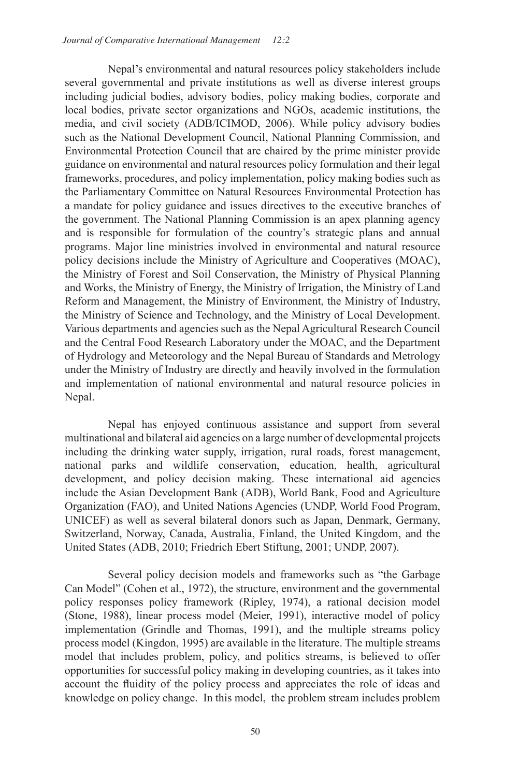Nepal's environmental and natural resources policy stakeholders include several governmental and private institutions as well as diverse interest groups including judicial bodies, advisory bodies, policy making bodies, corporate and local bodies, private sector organizations and NGOs, academic institutions, the media, and civil society (ADB/ICIMOD, 2006). While policy advisory bodies such as the National Development Council, National Planning Commission, and Environmental Protection Council that are chaired by the prime minister provide guidance on environmental and natural resources policy formulation and their legal frameworks, procedures, and policy implementation, policy making bodies such as the Parliamentary Committee on Natural Resources Environmental Protection has a mandate for policy guidance and issues directives to the executive branches of the government. The National Planning Commission is an apex planning agency and is responsible for formulation of the country's strategic plans and annual programs. Major line ministries involved in environmental and natural resource policy decisions include the Ministry of Agriculture and Cooperatives (MOAC), the Ministry of Forest and Soil Conservation, the Ministry of Physical Planning and Works, the Ministry of Energy, the Ministry of Irrigation, the Ministry of Land Reform and Management, the Ministry of Environment, the Ministry of Industry, the Ministry of Science and Technology, and the Ministry of Local Development. Various departments and agencies such as the Nepal Agricultural Research Council and the Central Food Research Laboratory under the MOAC, and the Department of Hydrology and Meteorology and the Nepal Bureau of Standards and Metrology under the Ministry of Industry are directly and heavily involved in the formulation and implementation of national environmental and natural resource policies in Nepal.

Nepal has enjoyed continuous assistance and support from several multinational and bilateral aid agencies on a large number of developmental projects including the drinking water supply, irrigation, rural roads, forest management, national parks and wildlife conservation, education, health, agricultural development, and policy decision making. These international aid agencies include the Asian Development Bank (ADB), World Bank, Food and Agriculture Organization (FAO), and United Nations Agencies (UNDP, World Food Program, UNICEF) as well as several bilateral donors such as Japan, Denmark, Germany, Switzerland, Norway, Canada, Australia, Finland, the United Kingdom, and the United States (ADB, 2010; Friedrich Ebert Stiftung, 2001; UNDP, 2007).

Several policy decision models and frameworks such as "the Garbage Can Model" (Cohen et al., 1972), the structure, environment and the governmental policy responses policy framework (Ripley, 1974), a rational decision model (Stone, 1988), linear process model (Meier, 1991), interactive model of policy implementation (Grindle and Thomas, 1991), and the multiple streams policy process model (Kingdon, 1995) are available in the literature. The multiple streams model that includes problem, policy, and politics streams, is believed to offer opportunities for successful policy making in developing countries, as it takes into account the fluidity of the policy process and appreciates the role of ideas and knowledge on policy change. In this model, the problem stream includes problem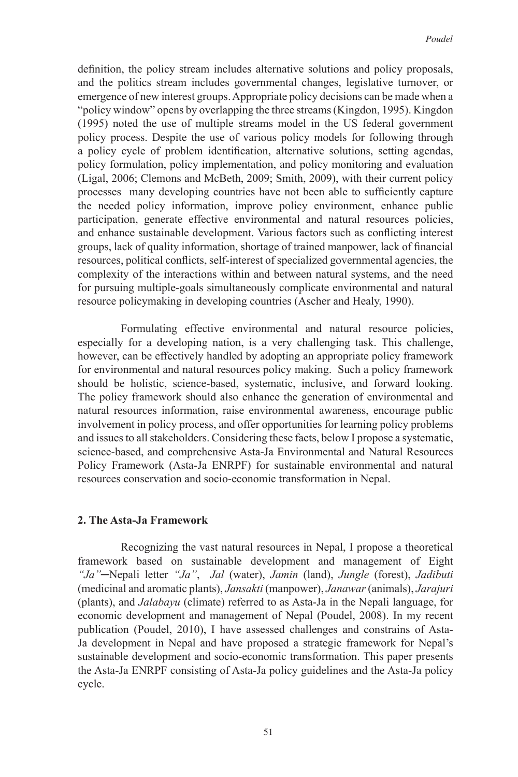definition, the policy stream includes alternative solutions and policy proposals, and the politics stream includes governmental changes, legislative turnover, or emergence of new interest groups. Appropriate policy decisions can be made when a "policy window" opens by overlapping the three streams (Kingdon, 1995). Kingdon (1995) noted the use of multiple streams model in the US federal government policy process. Despite the use of various policy models for following through a policy cycle of problem identification, alternative solutions, setting agendas, policy formulation, policy implementation, and policy monitoring and evaluation (Ligal, 2006; Clemons and McBeth, 2009; Smith, 2009), with their current policy processes many developing countries have not been able to sufficiently capture the needed policy information, improve policy environment, enhance public participation, generate effective environmental and natural resources policies, and enhance sustainable development. Various factors such as conflicting interest groups, lack of quality information, shortage of trained manpower, lack of financial resources, political conflicts, self-interest of specialized governmental agencies, the complexity of the interactions within and between natural systems, and the need for pursuing multiple-goals simultaneously complicate environmental and natural resource policymaking in developing countries (Ascher and Healy, 1990).

Formulating effective environmental and natural resource policies, especially for a developing nation, is a very challenging task. This challenge, however, can be effectively handled by adopting an appropriate policy framework for environmental and natural resources policy making. Such a policy framework should be holistic, science-based, systematic, inclusive, and forward looking. The policy framework should also enhance the generation of environmental and natural resources information, raise environmental awareness, encourage public involvement in policy process, and offer opportunities for learning policy problems and issues to all stakeholders. Considering these facts, below I propose a systematic, science-based, and comprehensive Asta-Ja Environmental and Natural Resources Policy Framework (Asta-Ja ENRPF) for sustainable environmental and natural resources conservation and socio-economic transformation in Nepal.

## **2. The Asta-Ja Framework**

 Recognizing the vast natural resources in Nepal, I propose a theoretical framework based on sustainable development and management of Eight *"Ja"*─Nepali letter *"Ja"*, *Jal* (water), *Jamin* (land), *Jungle* (forest), *Jadibuti* (medicinal and aromatic plants), *Jansakti* (manpower), *Janawar* (animals), *Jarajuri* (plants), and *Jalabayu* (climate) referred to as Asta-Ja in the Nepali language, for economic development and management of Nepal (Poudel, 2008). In my recent publication (Poudel, 2010), I have assessed challenges and constrains of Asta-Ja development in Nepal and have proposed a strategic framework for Nepal's sustainable development and socio-economic transformation. This paper presents the Asta-Ja ENRPF consisting of Asta-Ja policy guidelines and the Asta-Ja policy cycle.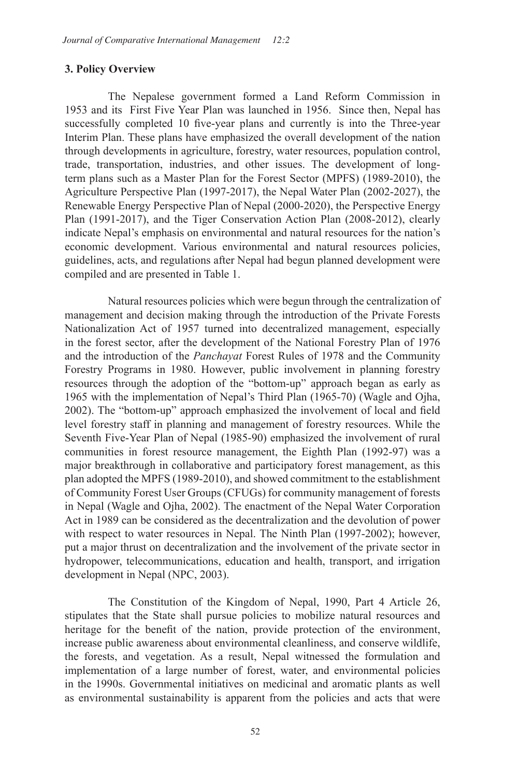## **3. Policy Overview**

 The Nepalese government formed a Land Reform Commission in 1953 and its First Five Year Plan was launched in 1956. Since then, Nepal has successfully completed 10 five-year plans and currently is into the Three-year Interim Plan. These plans have emphasized the overall development of the nation through developments in agriculture, forestry, water resources, population control, trade, transportation, industries, and other issues. The development of longterm plans such as a Master Plan for the Forest Sector (MPFS) (1989-2010), the Agriculture Perspective Plan (1997-2017), the Nepal Water Plan (2002-2027), the Renewable Energy Perspective Plan of Nepal (2000-2020), the Perspective Energy Plan (1991-2017), and the Tiger Conservation Action Plan (2008-2012), clearly indicate Nepal's emphasis on environmental and natural resources for the nation's economic development. Various environmental and natural resources policies, guidelines, acts, and regulations after Nepal had begun planned development were compiled and are presented in Table 1.

Natural resources policies which were begun through the centralization of management and decision making through the introduction of the Private Forests Nationalization Act of 1957 turned into decentralized management, especially in the forest sector, after the development of the National Forestry Plan of 1976 and the introduction of the *Panchayat* Forest Rules of 1978 and the Community Forestry Programs in 1980. However, public involvement in planning forestry resources through the adoption of the "bottom-up" approach began as early as 1965 with the implementation of Nepal's Third Plan (1965-70) (Wagle and Ojha, 2002). The "bottom-up" approach emphasized the involvement of local and field level forestry staff in planning and management of forestry resources. While the Seventh Five-Year Plan of Nepal (1985-90) emphasized the involvement of rural communities in forest resource management, the Eighth Plan (1992-97) was a major breakthrough in collaborative and participatory forest management, as this plan adopted the MPFS (1989-2010), and showed commitment to the establishment of Community Forest User Groups (CFUGs) for community management of forests in Nepal (Wagle and Ojha, 2002). The enactment of the Nepal Water Corporation Act in 1989 can be considered as the decentralization and the devolution of power with respect to water resources in Nepal. The Ninth Plan (1997-2002); however, put a major thrust on decentralization and the involvement of the private sector in hydropower, telecommunications, education and health, transport, and irrigation development in Nepal (NPC, 2003).

 The Constitution of the Kingdom of Nepal, 1990, Part 4 Article 26, stipulates that the State shall pursue policies to mobilize natural resources and heritage for the benefit of the nation, provide protection of the environment, increase public awareness about environmental cleanliness, and conserve wildlife, the forests, and vegetation. As a result, Nepal witnessed the formulation and implementation of a large number of forest, water, and environmental policies in the 1990s. Governmental initiatives on medicinal and aromatic plants as well as environmental sustainability is apparent from the policies and acts that were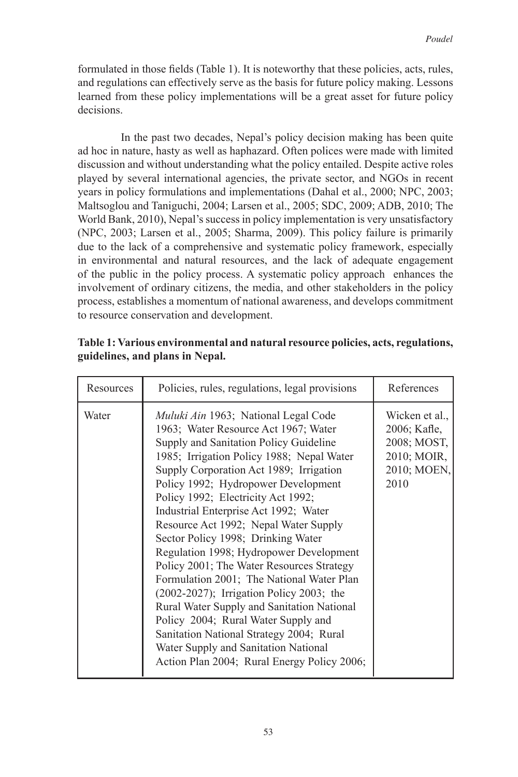formulated in those fields (Table 1). It is noteworthy that these policies, acts, rules, and regulations can effectively serve as the basis for future policy making. Lessons learned from these policy implementations will be a great asset for future policy decisions.

In the past two decades, Nepal's policy decision making has been quite ad hoc in nature, hasty as well as haphazard. Often polices were made with limited discussion and without understanding what the policy entailed. Despite active roles played by several international agencies, the private sector, and NGOs in recent years in policy formulations and implementations (Dahal et al., 2000; NPC, 2003; Maltsoglou and Taniguchi, 2004; Larsen et al., 2005; SDC, 2009; ADB, 2010; The World Bank, 2010), Nepal's success in policy implementation is very unsatisfactory (NPC, 2003; Larsen et al., 2005; Sharma, 2009). This policy failure is primarily due to the lack of a comprehensive and systematic policy framework, especially in environmental and natural resources, and the lack of adequate engagement of the public in the policy process. A systematic policy approach enhances the involvement of ordinary citizens, the media, and other stakeholders in the policy process, establishes a momentum of national awareness, and develops commitment to resource conservation and development.

| Resources | Policies, rules, regulations, legal provisions                                                                                                                                                                                                                                                                                                                                                                                                                                                                                                                                                                                                                                                                                                                                                                                      | References                                                                          |
|-----------|-------------------------------------------------------------------------------------------------------------------------------------------------------------------------------------------------------------------------------------------------------------------------------------------------------------------------------------------------------------------------------------------------------------------------------------------------------------------------------------------------------------------------------------------------------------------------------------------------------------------------------------------------------------------------------------------------------------------------------------------------------------------------------------------------------------------------------------|-------------------------------------------------------------------------------------|
| Water     | <i>Muluki Ain</i> 1963; National Legal Code<br>1963; Water Resource Act 1967; Water<br>Supply and Sanitation Policy Guideline<br>1985; Irrigation Policy 1988; Nepal Water<br>Supply Corporation Act 1989; Irrigation<br>Policy 1992; Hydropower Development<br>Policy 1992; Electricity Act 1992;<br>Industrial Enterprise Act 1992; Water<br>Resource Act 1992; Nepal Water Supply<br>Sector Policy 1998; Drinking Water<br>Regulation 1998; Hydropower Development<br>Policy 2001; The Water Resources Strategy<br>Formulation 2001; The National Water Plan<br>(2002-2027); Irrigation Policy 2003; the<br>Rural Water Supply and Sanitation National<br>Policy 2004; Rural Water Supply and<br>Sanitation National Strategy 2004; Rural<br>Water Supply and Sanitation National<br>Action Plan 2004; Rural Energy Policy 2006; | Wicken et al.,<br>2006; Kafle,<br>2008; MOST,<br>2010; MOIR,<br>2010; MOEN,<br>2010 |

## **Table 1: Various environmental and natural resource policies, acts, regulations, guidelines, and plans in Nepal.**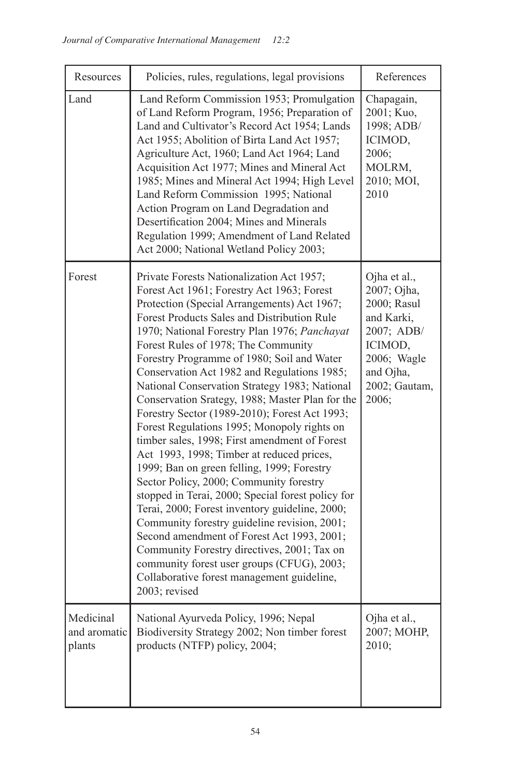| Resources                           | Policies, rules, regulations, legal provisions                                                                                                                                                                                                                                                                                                                                                                                                                                                                                                                                                                                                                                                                                                                                                                                                                                                                                                                                                                                                                                                                                        | References                                                                                                                              |
|-------------------------------------|---------------------------------------------------------------------------------------------------------------------------------------------------------------------------------------------------------------------------------------------------------------------------------------------------------------------------------------------------------------------------------------------------------------------------------------------------------------------------------------------------------------------------------------------------------------------------------------------------------------------------------------------------------------------------------------------------------------------------------------------------------------------------------------------------------------------------------------------------------------------------------------------------------------------------------------------------------------------------------------------------------------------------------------------------------------------------------------------------------------------------------------|-----------------------------------------------------------------------------------------------------------------------------------------|
| Land                                | Land Reform Commission 1953; Promulgation<br>of Land Reform Program, 1956; Preparation of<br>Land and Cultivator's Record Act 1954; Lands<br>Act 1955; Abolition of Birta Land Act 1957;<br>Agriculture Act, 1960; Land Act 1964; Land<br>Acquisition Act 1977; Mines and Mineral Act<br>1985; Mines and Mineral Act 1994; High Level<br>Land Reform Commission 1995; National<br>Action Program on Land Degradation and<br>Desertification 2004; Mines and Minerals<br>Regulation 1999; Amendment of Land Related<br>Act 2000; National Wetland Policy 2003;                                                                                                                                                                                                                                                                                                                                                                                                                                                                                                                                                                         | Chapagain,<br>2001; Kuo,<br>1998; ADB/<br>ICIMOD,<br>2006;<br>MOLRM,<br>2010; MOI,<br>2010                                              |
| Forest                              | Private Forests Nationalization Act 1957;<br>Forest Act 1961; Forestry Act 1963; Forest<br>Protection (Special Arrangements) Act 1967;<br>Forest Products Sales and Distribution Rule<br>1970; National Forestry Plan 1976; Panchayat<br>Forest Rules of 1978; The Community<br>Forestry Programme of 1980; Soil and Water<br>Conservation Act 1982 and Regulations 1985;<br>National Conservation Strategy 1983; National<br>Conservation Srategy, 1988; Master Plan for the<br>Forestry Sector (1989-2010); Forest Act 1993;<br>Forest Regulations 1995; Monopoly rights on<br>timber sales, 1998; First amendment of Forest<br>Act 1993, 1998; Timber at reduced prices,<br>1999; Ban on green felling, 1999; Forestry<br>Sector Policy, 2000; Community forestry<br>stopped in Terai, 2000; Special forest policy for<br>Terai, 2000; Forest inventory guideline, 2000;<br>Community forestry guideline revision, 2001;<br>Second amendment of Forest Act 1993, 2001;<br>Community Forestry directives, 2001; Tax on<br>community forest user groups (CFUG), 2003;<br>Collaborative forest management guideline,<br>2003; revised | Ojha et al.,<br>2007; Ojha,<br>2000; Rasul<br>and Karki,<br>2007; ADB/<br>ICIMOD,<br>2006; Wagle<br>and Ojha,<br>2002; Gautam,<br>2006; |
| Medicinal<br>and aromatic<br>plants | National Ayurveda Policy, 1996; Nepal<br>Biodiversity Strategy 2002; Non timber forest<br>products (NTFP) policy, 2004;                                                                                                                                                                                                                                                                                                                                                                                                                                                                                                                                                                                                                                                                                                                                                                                                                                                                                                                                                                                                               | Ojha et al.,<br>2007; MOHP,<br>2010;                                                                                                    |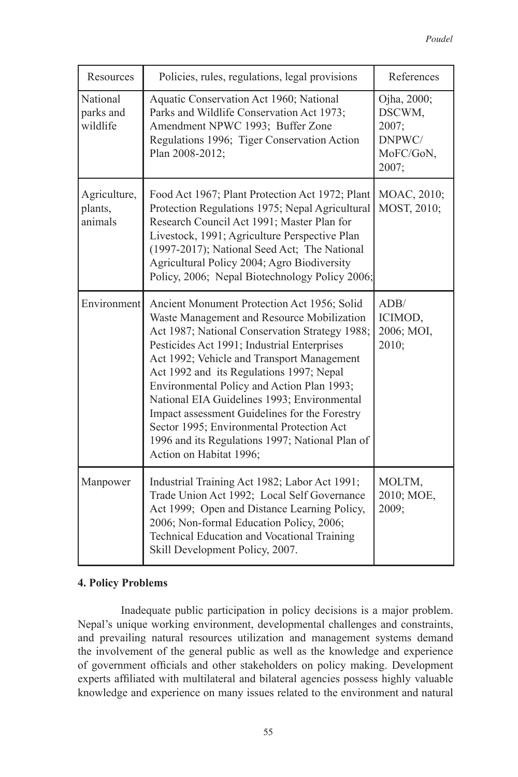| Resources                          | Policies, rules, regulations, legal provisions                                                                                                                                                                                                                                                                                                                                                                                                                                                                                                                | References                                                     |
|------------------------------------|---------------------------------------------------------------------------------------------------------------------------------------------------------------------------------------------------------------------------------------------------------------------------------------------------------------------------------------------------------------------------------------------------------------------------------------------------------------------------------------------------------------------------------------------------------------|----------------------------------------------------------------|
| National<br>parks and<br>wildlife  | Aquatic Conservation Act 1960; National<br>Parks and Wildlife Conservation Act 1973;<br>Amendment NPWC 1993; Buffer Zone<br>Regulations 1996; Tiger Conservation Action<br>Plan 2008-2012;                                                                                                                                                                                                                                                                                                                                                                    | Ojha, 2000;<br>DSCWM,<br>2007;<br>DNPWC/<br>MoFC/GoN,<br>2007; |
| Agriculture,<br>plants,<br>animals | Food Act 1967; Plant Protection Act 1972; Plant<br>Protection Regulations 1975; Nepal Agricultural<br>Research Council Act 1991; Master Plan for<br>Livestock, 1991; Agriculture Perspective Plan<br>(1997-2017); National Seed Act; The National<br>Agricultural Policy 2004; Agro Biodiversity<br>Policy, 2006; Nepal Biotechnology Policy 2006;                                                                                                                                                                                                            | MOAC, 2010;<br>MOST, 2010;                                     |
| Environment                        | Ancient Monument Protection Act 1956; Solid<br>Waste Management and Resource Mobilization<br>Act 1987; National Conservation Strategy 1988;<br>Pesticides Act 1991; Industrial Enterprises<br>Act 1992; Vehicle and Transport Management<br>Act 1992 and its Regulations 1997; Nepal<br>Environmental Policy and Action Plan 1993;<br>National EIA Guidelines 1993; Environmental<br>Impact assessment Guidelines for the Forestry<br>Sector 1995; Environmental Protection Act<br>1996 and its Regulations 1997; National Plan of<br>Action on Habitat 1996; | ADB/<br>ICIMOD,<br>2006; MOI,<br>2010;                         |
| Manpower                           | Industrial Training Act 1982; Labor Act 1991;<br>Trade Union Act 1992; Local Self Governance<br>Act 1999; Open and Distance Learning Policy,<br>2006; Non-formal Education Policy, 2006;<br>Technical Education and Vocational Training<br>Skill Development Policy, 2007.                                                                                                                                                                                                                                                                                    | MOLTM,<br>2010; MOE,<br>2009;                                  |

## **4. Policy Problems**

Inadequate public participation in policy decisions is a major problem. Nepal's unique working environment, developmental challenges and constraints, and prevailing natural resources utilization and management systems demand the involvement of the general public as well as the knowledge and experience of government officials and other stakeholders on policy making. Development experts affiliated with multilateral and bilateral agencies possess highly valuable knowledge and experience on many issues related to the environment and natural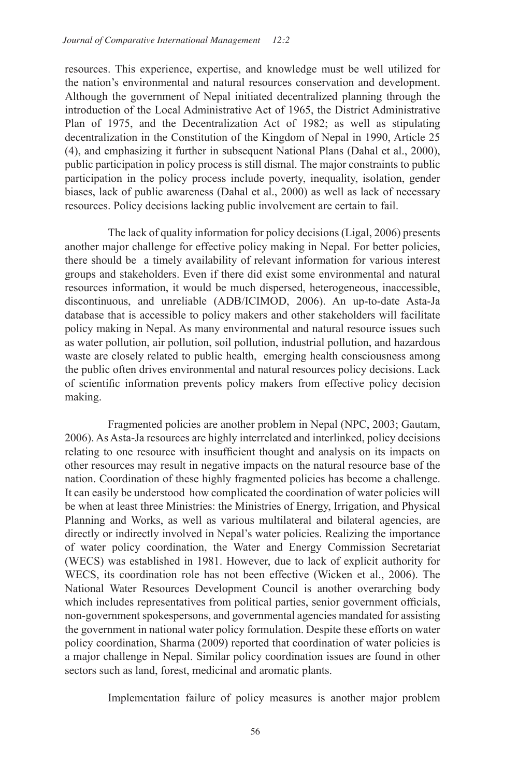resources. This experience, expertise, and knowledge must be well utilized for the nation's environmental and natural resources conservation and development. Although the government of Nepal initiated decentralized planning through the introduction of the Local Administrative Act of 1965, the District Administrative Plan of 1975, and the Decentralization Act of 1982; as well as stipulating decentralization in the Constitution of the Kingdom of Nepal in 1990, Article 25 (4), and emphasizing it further in subsequent National Plans (Dahal et al., 2000), public participation in policy process is still dismal. The major constraints to public participation in the policy process include poverty, inequality, isolation, gender biases, lack of public awareness (Dahal et al., 2000) as well as lack of necessary resources. Policy decisions lacking public involvement are certain to fail.

 The lack of quality information for policy decisions (Ligal, 2006) presents another major challenge for effective policy making in Nepal. For better policies, there should be a timely availability of relevant information for various interest groups and stakeholders. Even if there did exist some environmental and natural resources information, it would be much dispersed, heterogeneous, inaccessible, discontinuous, and unreliable (ADB/ICIMOD, 2006). An up-to-date Asta-Ja database that is accessible to policy makers and other stakeholders will facilitate policy making in Nepal. As many environmental and natural resource issues such as water pollution, air pollution, soil pollution, industrial pollution, and hazardous waste are closely related to public health, emerging health consciousness among the public often drives environmental and natural resources policy decisions. Lack of scientific information prevents policy makers from effective policy decision making.

Fragmented policies are another problem in Nepal (NPC, 2003; Gautam, 2006). As Asta-Ja resources are highly interrelated and interlinked, policy decisions relating to one resource with insufficient thought and analysis on its impacts on other resources may result in negative impacts on the natural resource base of the nation. Coordination of these highly fragmented policies has become a challenge. It can easily be understood how complicated the coordination of water policies will be when at least three Ministries: the Ministries of Energy, Irrigation, and Physical Planning and Works, as well as various multilateral and bilateral agencies, are directly or indirectly involved in Nepal's water policies. Realizing the importance of water policy coordination, the Water and Energy Commission Secretariat (WECS) was established in 1981. However, due to lack of explicit authority for WECS, its coordination role has not been effective (Wicken et al., 2006). The National Water Resources Development Council is another overarching body which includes representatives from political parties, senior government officials, non-government spokespersons, and governmental agencies mandated for assisting the government in national water policy formulation. Despite these efforts on water policy coordination, Sharma (2009) reported that coordination of water policies is a major challenge in Nepal. Similar policy coordination issues are found in other sectors such as land, forest, medicinal and aromatic plants.

Implementation failure of policy measures is another major problem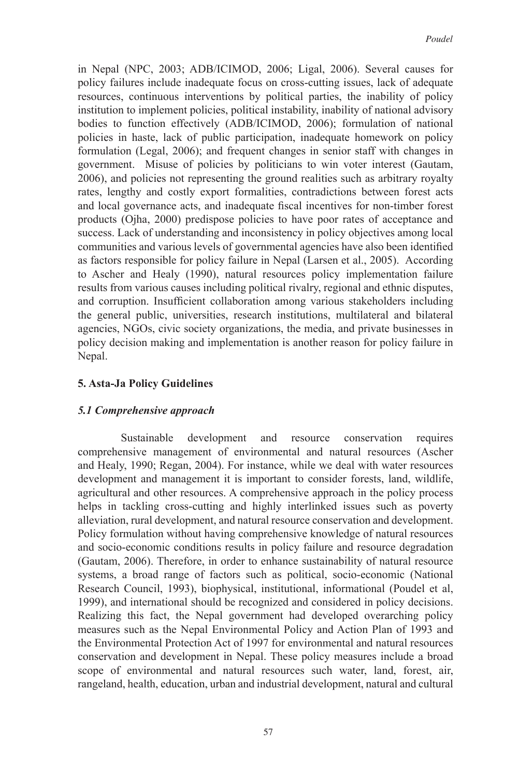in Nepal (NPC, 2003; ADB/ICIMOD, 2006; Ligal, 2006). Several causes for policy failures include inadequate focus on cross-cutting issues, lack of adequate resources, continuous interventions by political parties, the inability of policy institution to implement policies, political instability, inability of national advisory bodies to function effectively (ADB/ICIMOD, 2006); formulation of national policies in haste, lack of public participation, inadequate homework on policy formulation (Legal, 2006); and frequent changes in senior staff with changes in government. Misuse of policies by politicians to win voter interest (Gautam, 2006), and policies not representing the ground realities such as arbitrary royalty rates, lengthy and costly export formalities, contradictions between forest acts and local governance acts, and inadequate fiscal incentives for non-timber forest products (Ojha, 2000) predispose policies to have poor rates of acceptance and success. Lack of understanding and inconsistency in policy objectives among local communities and various levels of governmental agencies have also been identified as factors responsible for policy failure in Nepal (Larsen et al., 2005). According to Ascher and Healy (1990), natural resources policy implementation failure results from various causes including political rivalry, regional and ethnic disputes, and corruption. Insufficient collaboration among various stakeholders including the general public, universities, research institutions, multilateral and bilateral agencies, NGOs, civic society organizations, the media, and private businesses in policy decision making and implementation is another reason for policy failure in Nepal.

#### **5. Asta-Ja Policy Guidelines**

## *5.1 Comprehensive approach*

Sustainable development and resource conservation requires comprehensive management of environmental and natural resources (Ascher and Healy, 1990; Regan, 2004). For instance, while we deal with water resources development and management it is important to consider forests, land, wildlife, agricultural and other resources. A comprehensive approach in the policy process helps in tackling cross-cutting and highly interlinked issues such as poverty alleviation, rural development, and natural resource conservation and development. Policy formulation without having comprehensive knowledge of natural resources and socio-economic conditions results in policy failure and resource degradation (Gautam, 2006). Therefore, in order to enhance sustainability of natural resource systems, a broad range of factors such as political, socio-economic (National Research Council, 1993), biophysical, institutional, informational (Poudel et al, 1999), and international should be recognized and considered in policy decisions. Realizing this fact, the Nepal government had developed overarching policy measures such as the Nepal Environmental Policy and Action Plan of 1993 and the Environmental Protection Act of 1997 for environmental and natural resources conservation and development in Nepal. These policy measures include a broad scope of environmental and natural resources such water, land, forest, air, rangeland, health, education, urban and industrial development, natural and cultural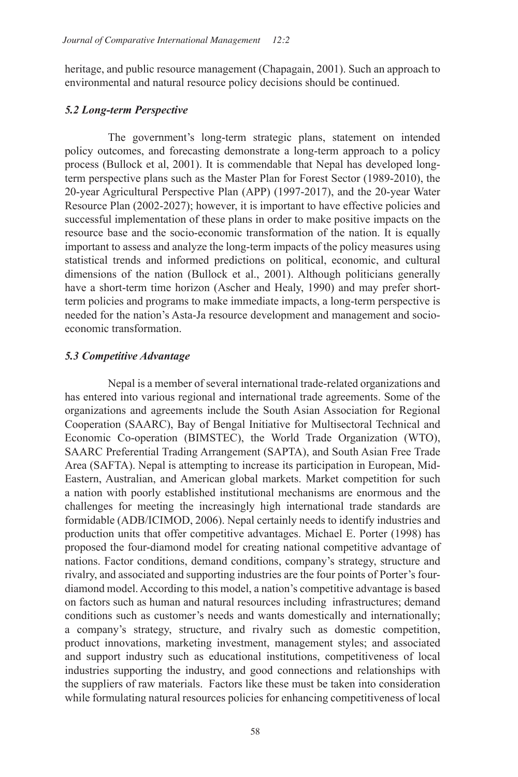heritage, and public resource management (Chapagain, 2001). Such an approach to environmental and natural resource policy decisions should be continued.

## *5.2 Long-term Perspective*

 The government's long-term strategic plans, statement on intended policy outcomes, and forecasting demonstrate a long-term approach to a policy process (Bullock et al, 2001). It is commendable that Nepal has developed longterm perspective plans such as the Master Plan for Forest Sector (1989-2010), the 20-year Agricultural Perspective Plan (APP) (1997-2017), and the 20-year Water Resource Plan (2002-2027); however, it is important to have effective policies and successful implementation of these plans in order to make positive impacts on the resource base and the socio-economic transformation of the nation. It is equally important to assess and analyze the long-term impacts of the policy measures using statistical trends and informed predictions on political, economic, and cultural dimensions of the nation (Bullock et al., 2001). Although politicians generally have a short-term time horizon (Ascher and Healy, 1990) and may prefer shortterm policies and programs to make immediate impacts, a long-term perspective is needed for the nation's Asta-Ja resource development and management and socioeconomic transformation.

## *5.3 Competitive Advantage*

Nepal is a member of several international trade-related organizations and has entered into various regional and international trade agreements. Some of the organizations and agreements include the South Asian Association for Regional Cooperation (SAARC), Bay of Bengal Initiative for Multisectoral Technical and Economic Co-operation (BIMSTEC), the World Trade Organization (WTO), SAARC Preferential Trading Arrangement (SAPTA), and South Asian Free Trade Area (SAFTA). Nepal is attempting to increase its participation in European, Mid-Eastern, Australian, and American global markets. Market competition for such a nation with poorly established institutional mechanisms are enormous and the challenges for meeting the increasingly high international trade standards are formidable (ADB/ICIMOD, 2006). Nepal certainly needs to identify industries and production units that offer competitive advantages. Michael E. Porter (1998) has proposed the four-diamond model for creating national competitive advantage of nations. Factor conditions, demand conditions, company's strategy, structure and rivalry, and associated and supporting industries are the four points of Porter's fourdiamond model. According to this model, a nation's competitive advantage is based on factors such as human and natural resources including infrastructures; demand conditions such as customer's needs and wants domestically and internationally; a company's strategy, structure, and rivalry such as domestic competition, product innovations, marketing investment, management styles; and associated and support industry such as educational institutions, competitiveness of local industries supporting the industry, and good connections and relationships with the suppliers of raw materials. Factors like these must be taken into consideration while formulating natural resources policies for enhancing competitiveness of local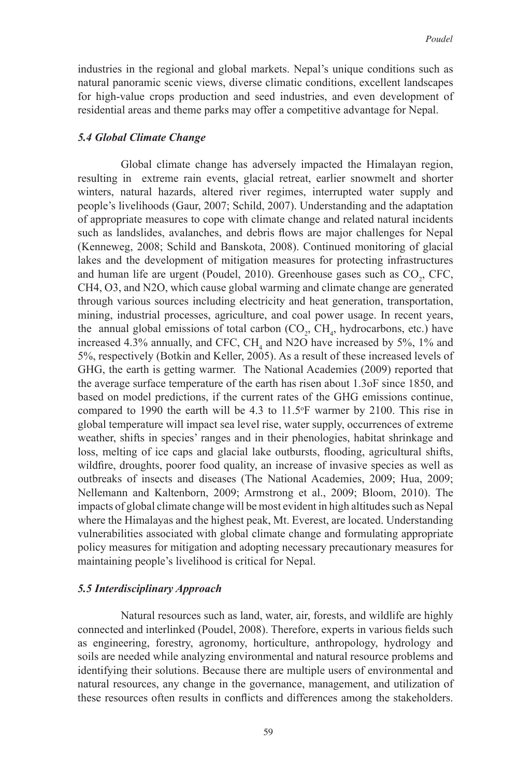industries in the regional and global markets. Nepal's unique conditions such as natural panoramic scenic views, diverse climatic conditions, excellent landscapes for high-value crops production and seed industries, and even development of residential areas and theme parks may offer a competitive advantage for Nepal.

#### *5.4 Global Climate Change*

Global climate change has adversely impacted the Himalayan region, resulting in extreme rain events, glacial retreat, earlier snowmelt and shorter winters, natural hazards, altered river regimes, interrupted water supply and people's livelihoods (Gaur, 2007; Schild, 2007). Understanding and the adaptation of appropriate measures to cope with climate change and related natural incidents such as landslides, avalanches, and debris flows are major challenges for Nepal (Kenneweg, 2008; Schild and Banskota, 2008). Continued monitoring of glacial lakes and the development of mitigation measures for protecting infrastructures and human life are urgent (Poudel, 2010). Greenhouse gases such as  $CO<sub>2</sub>$ , CFC, CH4, O3, and N2O, which cause global warming and climate change are generated through various sources including electricity and heat generation, transportation, mining, industrial processes, agriculture, and coal power usage. In recent years, the annual global emissions of total carbon  $(CO_2, CH_4, hydrocarbons, etc.)$  have increased 4.3% annually, and CFC,  $CH<sub>4</sub>$  and N2O have increased by 5%, 1% and 5%, respectively (Botkin and Keller, 2005). As a result of these increased levels of GHG, the earth is getting warmer. The National Academies (2009) reported that the average surface temperature of the earth has risen about 1.3oF since 1850, and based on model predictions, if the current rates of the GHG emissions continue, compared to 1990 the earth will be  $4.3$  to  $11.5^{\circ}$ F warmer by 2100. This rise in global temperature will impact sea level rise, water supply, occurrences of extreme weather, shifts in species' ranges and in their phenologies, habitat shrinkage and loss, melting of ice caps and glacial lake outbursts, flooding, agricultural shifts, wildfire, droughts, poorer food quality, an increase of invasive species as well as outbreaks of insects and diseases (The National Academies, 2009; Hua, 2009; Nellemann and Kaltenborn, 2009; Armstrong et al., 2009; Bloom, 2010). The impacts of global climate change will be most evident in high altitudes such as Nepal where the Himalayas and the highest peak, Mt. Everest, are located. Understanding vulnerabilities associated with global climate change and formulating appropriate policy measures for mitigation and adopting necessary precautionary measures for maintaining people's livelihood is critical for Nepal.

#### *5.5 Interdisciplinary Approach*

Natural resources such as land, water, air, forests, and wildlife are highly connected and interlinked (Poudel, 2008). Therefore, experts in various fields such as engineering, forestry, agronomy, horticulture, anthropology, hydrology and soils are needed while analyzing environmental and natural resource problems and identifying their solutions. Because there are multiple users of environmental and natural resources, any change in the governance, management, and utilization of these resources often results in conflicts and differences among the stakeholders.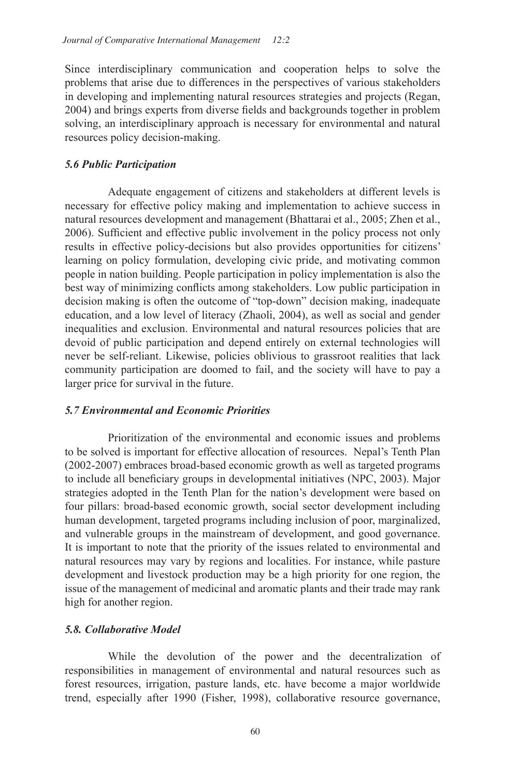Since interdisciplinary communication and cooperation helps to solve the problems that arise due to differences in the perspectives of various stakeholders in developing and implementing natural resources strategies and projects (Regan, 2004) and brings experts from diverse fields and backgrounds together in problem solving, an interdisciplinary approach is necessary for environmental and natural resources policy decision-making.

## *5.6 Public Participation*

Adequate engagement of citizens and stakeholders at different levels is necessary for effective policy making and implementation to achieve success in natural resources development and management (Bhattarai et al., 2005; Zhen et al., 2006). Sufficient and effective public involvement in the policy process not only results in effective policy-decisions but also provides opportunities for citizens' learning on policy formulation, developing civic pride, and motivating common people in nation building. People participation in policy implementation is also the best way of minimizing conflicts among stakeholders. Low public participation in decision making is often the outcome of "top-down" decision making, inadequate education, and a low level of literacy (Zhaoli, 2004), as well as social and gender inequalities and exclusion. Environmental and natural resources policies that are devoid of public participation and depend entirely on external technologies will never be self-reliant. Likewise, policies oblivious to grassroot realities that lack community participation are doomed to fail, and the society will have to pay a larger price for survival in the future.

## *5.7 Environmental and Economic Priorities*

Prioritization of the environmental and economic issues and problems to be solved is important for effective allocation of resources. Nepal's Tenth Plan (2002-2007) embraces broad-based economic growth as well as targeted programs to include all beneficiary groups in developmental initiatives (NPC, 2003). Major strategies adopted in the Tenth Plan for the nation's development were based on four pillars: broad-based economic growth, social sector development including human development, targeted programs including inclusion of poor, marginalized, and vulnerable groups in the mainstream of development, and good governance. It is important to note that the priority of the issues related to environmental and natural resources may vary by regions and localities. For instance, while pasture development and livestock production may be a high priority for one region, the issue of the management of medicinal and aromatic plants and their trade may rank high for another region.

## *5.8. Collaborative Model*

While the devolution of the power and the decentralization of responsibilities in management of environmental and natural resources such as forest resources, irrigation, pasture lands, etc. have become a major worldwide trend, especially after 1990 (Fisher, 1998), collaborative resource governance,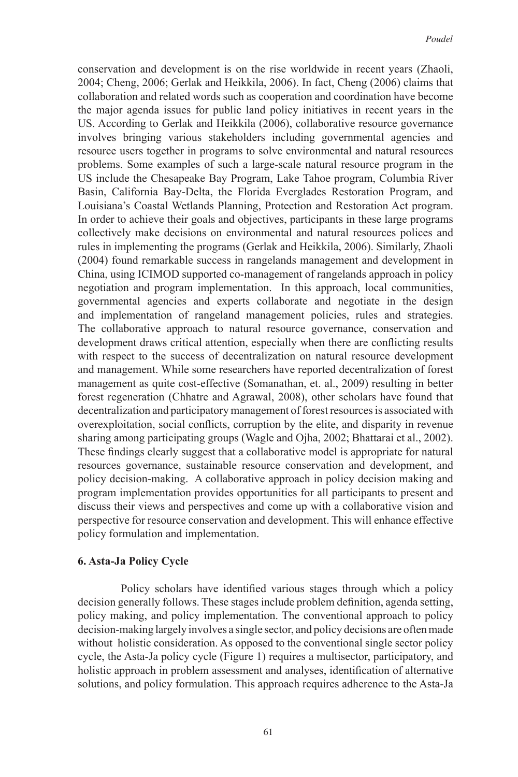conservation and development is on the rise worldwide in recent years (Zhaoli, 2004; Cheng, 2006; Gerlak and Heikkila, 2006). In fact, Cheng (2006) claims that collaboration and related words such as cooperation and coordination have become the major agenda issues for public land policy initiatives in recent years in the US. According to Gerlak and Heikkila (2006), collaborative resource governance involves bringing various stakeholders including governmental agencies and resource users together in programs to solve environmental and natural resources problems. Some examples of such a large-scale natural resource program in the US include the Chesapeake Bay Program, Lake Tahoe program, Columbia River Basin, California Bay-Delta, the Florida Everglades Restoration Program, and Louisiana's Coastal Wetlands Planning, Protection and Restoration Act program. In order to achieve their goals and objectives, participants in these large programs collectively make decisions on environmental and natural resources polices and rules in implementing the programs (Gerlak and Heikkila, 2006). Similarly, Zhaoli (2004) found remarkable success in rangelands management and development in China, using ICIMOD supported co-management of rangelands approach in policy negotiation and program implementation. In this approach, local communities, governmental agencies and experts collaborate and negotiate in the design and implementation of rangeland management policies, rules and strategies. The collaborative approach to natural resource governance, conservation and development draws critical attention, especially when there are conflicting results with respect to the success of decentralization on natural resource development and management. While some researchers have reported decentralization of forest management as quite cost-effective (Somanathan, et. al., 2009) resulting in better forest regeneration (Chhatre and Agrawal, 2008), other scholars have found that decentralization and participatory management of forest resources is associated with overexploitation, social conflicts, corruption by the elite, and disparity in revenue sharing among participating groups (Wagle and Ojha, 2002; Bhattarai et al., 2002). These findings clearly suggest that a collaborative model is appropriate for natural resources governance, sustainable resource conservation and development, and policy decision-making. A collaborative approach in policy decision making and program implementation provides opportunities for all participants to present and discuss their views and perspectives and come up with a collaborative vision and perspective for resource conservation and development. This will enhance effective policy formulation and implementation.

#### **6. Asta-Ja Policy Cycle**

Policy scholars have identified various stages through which a policy decision generally follows. These stages include problem definition, agenda setting, policy making, and policy implementation. The conventional approach to policy decision-making largely involves a single sector, and policy decisions are often made without holistic consideration. As opposed to the conventional single sector policy cycle, the Asta-Ja policy cycle (Figure 1) requires a multisector, participatory, and holistic approach in problem assessment and analyses, identification of alternative solutions, and policy formulation. This approach requires adherence to the Asta-Ja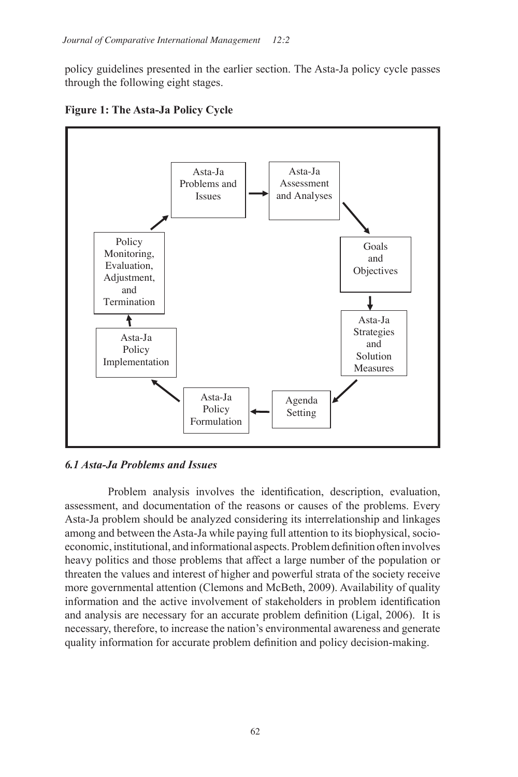policy guidelines presented in the earlier section. The Asta-Ja policy cycle passes through the following eight stages.



**Figure 1: The Asta-Ja Policy Cycle**

## *6.1 Asta-Ja Problems and Issues*

Problem analysis involves the identification, description, evaluation, assessment, and documentation of the reasons or causes of the problems. Every Asta-Ja problem should be analyzed considering its interrelationship and linkages among and between the Asta-Ja while paying full attention to its biophysical, socioeconomic, institutional, and informational aspects. Problem definition often involves heavy politics and those problems that affect a large number of the population or threaten the values and interest of higher and powerful strata of the society receive more governmental attention (Clemons and McBeth, 2009). Availability of quality information and the active involvement of stakeholders in problem identification and analysis are necessary for an accurate problem definition (Ligal, 2006). It is necessary, therefore, to increase the nation's environmental awareness and generate quality information for accurate problem definition and policy decision-making.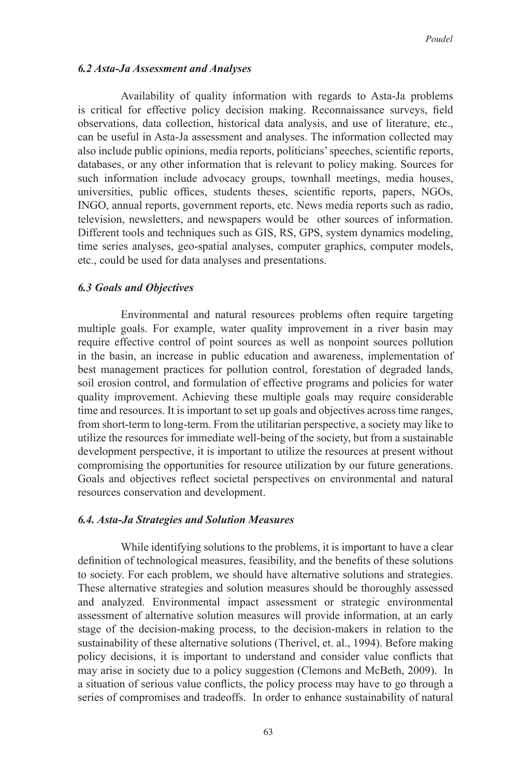#### *6.2 Asta-Ja Assessment and Analyses*

Availability of quality information with regards to Asta-Ja problems is critical for effective policy decision making. Reconnaissance surveys, field observations, data collection, historical data analysis, and use of literature, etc., can be useful in Asta-Ja assessment and analyses. The information collected may also include public opinions, media reports, politicians' speeches, scientific reports, databases, or any other information that is relevant to policy making. Sources for such information include advocacy groups, townhall meetings, media houses, universities, public offices, students theses, scientific reports, papers, NGOs, INGO, annual reports, government reports, etc. News media reports such as radio, television, newsletters, and newspapers would be other sources of information. Different tools and techniques such as GIS, RS, GPS, system dynamics modeling, time series analyses, geo-spatial analyses, computer graphics, computer models, etc., could be used for data analyses and presentations.

#### *6.3 Goals and Objectives*

Environmental and natural resources problems often require targeting multiple goals. For example, water quality improvement in a river basin may require effective control of point sources as well as nonpoint sources pollution in the basin, an increase in public education and awareness, implementation of best management practices for pollution control, forestation of degraded lands, soil erosion control, and formulation of effective programs and policies for water quality improvement. Achieving these multiple goals may require considerable time and resources. It is important to set up goals and objectives across time ranges, from short-term to long-term. From the utilitarian perspective, a society may like to utilize the resources for immediate well-being of the society, but from a sustainable development perspective, it is important to utilize the resources at present without compromising the opportunities for resource utilization by our future generations. Goals and objectives reflect societal perspectives on environmental and natural resources conservation and development.

#### *6.4. Asta-Ja Strategies and Solution Measures*

While identifying solutions to the problems, it is important to have a clear definition of technological measures, feasibility, and the benefits of these solutions to society. For each problem, we should have alternative solutions and strategies. These alternative strategies and solution measures should be thoroughly assessed and analyzed. Environmental impact assessment or strategic environmental assessment of alternative solution measures will provide information, at an early stage of the decision-making process, to the decision-makers in relation to the sustainability of these alternative solutions (Therivel, et. al., 1994). Before making policy decisions, it is important to understand and consider value conflicts that may arise in society due to a policy suggestion (Clemons and McBeth, 2009). In a situation of serious value conflicts, the policy process may have to go through a series of compromises and tradeoffs. In order to enhance sustainability of natural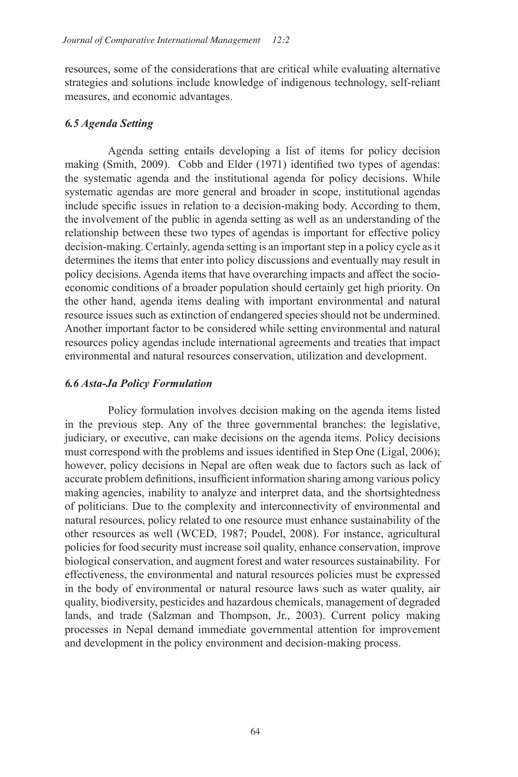resources, some of the considerations that are critical while evaluating alternative strategies and solutions include knowledge of indigenous technology, self-reliant measures, and economic advantages.

## *6.5 Agenda Setting*

Agenda setting entails developing a list of items for policy decision making (Smith, 2009). Cobb and Elder (1971) identified two types of agendas: the systematic agenda and the institutional agenda for policy decisions. While systematic agendas are more general and broader in scope, institutional agendas include specific issues in relation to a decision-making body. According to them, the involvement of the public in agenda setting as well as an understanding of the relationship between these two types of agendas is important for effective policy decision-making. Certainly, agenda setting is an important step in a policy cycle as it determines the items that enter into policy discussions and eventually may result in policy decisions. Agenda items that have overarching impacts and affect the socioeconomic conditions of a broader population should certainly get high priority. On the other hand, agenda items dealing with important environmental and natural resource issues such as extinction of endangered species should not be undermined. Another important factor to be considered while setting environmental and natural resources policy agendas include international agreements and treaties that impact environmental and natural resources conservation, utilization and development.

## *6.6 Asta-Ja Policy Formulation*

Policy formulation involves decision making on the agenda items listed in the previous step. Any of the three governmental branches: the legislative, judiciary, or executive, can make decisions on the agenda items. Policy decisions must correspond with the problems and issues identified in Step One (Ligal, 2006); however, policy decisions in Nepal are often weak due to factors such as lack of accurate problem definitions, insufficient information sharing among various policy making agencies, inability to analyze and interpret data, and the shortsightedness of politicians. Due to the complexity and interconnectivity of environmental and natural resources, policy related to one resource must enhance sustainability of the other resources as well (WCED, 1987; Poudel, 2008). For instance, agricultural policies for food security must increase soil quality, enhance conservation, improve biological conservation, and augment forest and water resources sustainability. For effectiveness, the environmental and natural resources policies must be expressed in the body of environmental or natural resource laws such as water quality, air quality, biodiversity, pesticides and hazardous chemicals, management of degraded lands, and trade (Salzman and Thompson, Jr., 2003). Current policy making processes in Nepal demand immediate governmental attention for improvement and development in the policy environment and decision-making process.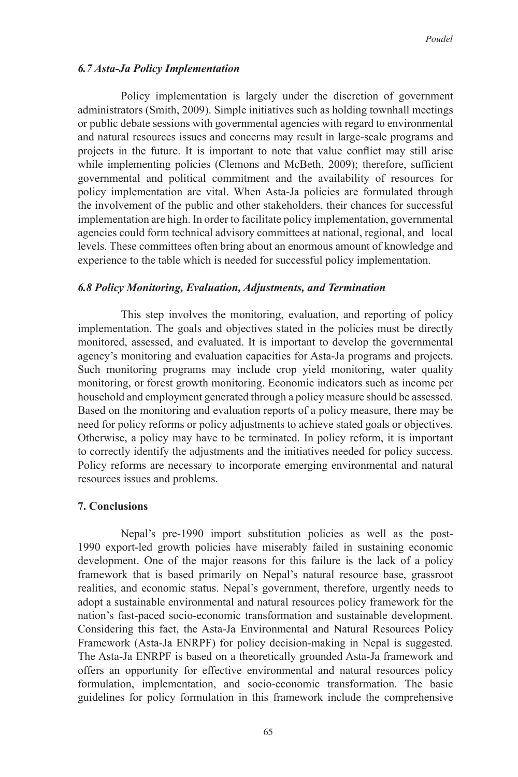#### *6.7 Asta-Ja Policy Implementation*

Policy implementation is largely under the discretion of government administrators (Smith, 2009). Simple initiatives such as holding townhall meetings or public debate sessions with governmental agencies with regard to environmental and natural resources issues and concerns may result in large-scale programs and projects in the future. It is important to note that value conflict may still arise while implementing policies (Clemons and McBeth, 2009); therefore, sufficient governmental and political commitment and the availability of resources for policy implementation are vital. When Asta-Ja policies are formulated through the involvement of the public and other stakeholders, their chances for successful implementation are high. In order to facilitate policy implementation, governmental agencies could form technical advisory committees at national, regional, and local levels. These committees often bring about an enormous amount of knowledge and experience to the table which is needed for successful policy implementation.

#### *6.8 Policy Monitoring, Evaluation, Adjustments, and Termination*

 This step involves the monitoring, evaluation, and reporting of policy implementation. The goals and objectives stated in the policies must be directly monitored, assessed, and evaluated. It is important to develop the governmental agency's monitoring and evaluation capacities for Asta-Ja programs and projects. Such monitoring programs may include crop yield monitoring, water quality monitoring, or forest growth monitoring. Economic indicators such as income per household and employment generated through a policy measure should be assessed. Based on the monitoring and evaluation reports of a policy measure, there may be need for policy reforms or policy adjustments to achieve stated goals or objectives. Otherwise, a policy may have to be terminated. In policy reform, it is important to correctly identify the adjustments and the initiatives needed for policy success. Policy reforms are necessary to incorporate emerging environmental and natural resources issues and problems.

#### **7. Conclusions**

Nepal's pre-1990 import substitution policies as well as the post-1990 export-led growth policies have miserably failed in sustaining economic development. One of the major reasons for this failure is the lack of a policy framework that is based primarily on Nepal's natural resource base, grassroot realities, and economic status. Nepal's government, therefore, urgently needs to adopt a sustainable environmental and natural resources policy framework for the nation's fast-paced socio-economic transformation and sustainable development. Considering this fact, the Asta-Ja Environmental and Natural Resources Policy Framework (Asta-Ja ENRPF) for policy decision-making in Nepal is suggested. The Asta-Ja ENRPF is based on a theoretically grounded Asta-Ja framework and offers an opportunity for effective environmental and natural resources policy formulation, implementation, and socio-economic transformation. The basic guidelines for policy formulation in this framework include the comprehensive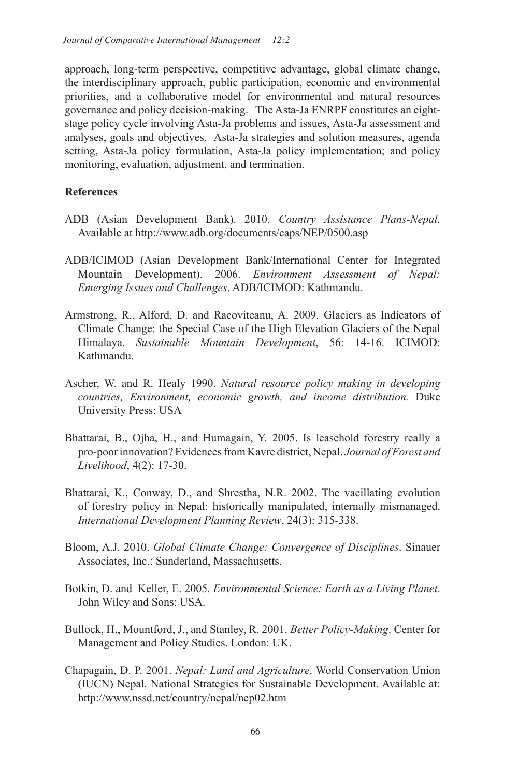approach, long-term perspective, competitive advantage, global climate change, the interdisciplinary approach, public participation, economic and environmental priorities, and a collaborative model for environmental and natural resources governance and policy decision-making. The Asta-Ja ENRPF constitutes an eightstage policy cycle involving Asta-Ja problems and issues, Asta-Ja assessment and analyses, goals and objectives, Asta-Ja strategies and solution measures, agenda setting, Asta-Ja policy formulation, Asta-Ja policy implementation; and policy monitoring, evaluation, adjustment, and termination.

## **References**

- ADB (Asian Development Bank). 2010. *Country Assistance Plans-Nepal*. Available at http://www.adb.org/documents/caps/NEP/0500.asp
- ADB/ICIMOD (Asian Development Bank/International Center for Integrated Mountain Development). 2006. *Environment Assessment of Nepal: Emerging Issues and Challenges*. ADB/ICIMOD: Kathmandu.
- Armstrong, R., Alford, D. and Racoviteanu, A. 2009. Glaciers as Indicators of Climate Change: the Special Case of the High Elevation Glaciers of the Nepal Himalaya. *Sustainable Mountain Development*, 56: 14-16. ICIMOD: Kathmandu.
- Ascher, W. and R. Healy 1990. *Natural resource policy making in developing countries, Environment, economic growth, and income distribution.* Duke University Press: USA
- Bhattarai, B., Ojha, H., and Humagain, Y. 2005. Is leasehold forestry really a pro-poor innovation? Evidences from Kavre district, Nepal. *Journal of Forest and Livelihood*, 4(2): 17-30.
- Bhattarai, K., Conway, D., and Shrestha, N.R. 2002. The vacillating evolution of forestry policy in Nepal: historically manipulated, internally mismanaged. *International Development Planning Review*, 24(3): 315-338.
- Bloom, A.J. 2010. *Global Climate Change: Convergence of Disciplines*. Sinauer Associates, Inc.: Sunderland, Massachusetts.
- Botkin, D. and Keller, E. 2005. *Environmental Science: Earth as a Living Planet*. John Wiley and Sons: USA.
- Bullock, H., Mountford, J., and Stanley, R. 2001. *Better Policy-Making*. Center for Management and Policy Studies. London: UK.
- Chapagain, D. P. 2001. *Nepal: Land and Agriculture*. World Conservation Union (IUCN) Nepal. National Strategies for Sustainable Development. Available at: http://www.nssd.net/country/nepal/nep02.htm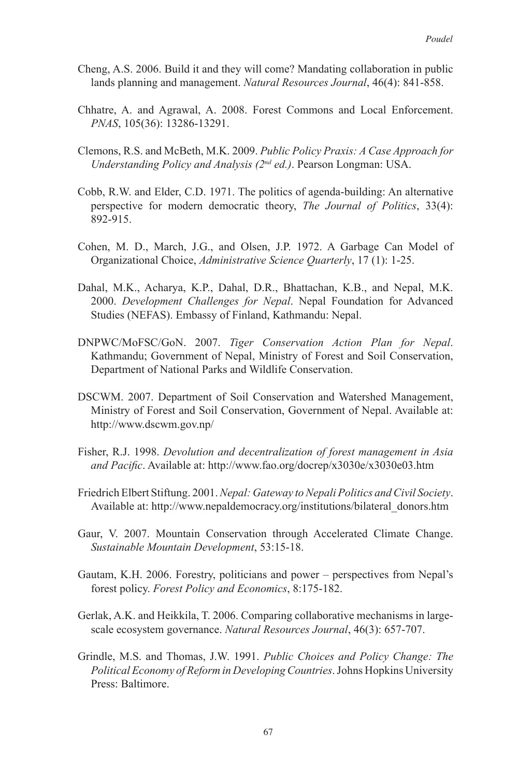- Cheng, A.S. 2006. Build it and they will come? Mandating collaboration in public lands planning and management. *Natural Resources Journal*, 46(4): 841-858.
- Chhatre, A. and Agrawal, A. 2008. Forest Commons and Local Enforcement. *PNAS*, 105(36): 13286-13291.
- Clemons, R.S. and McBeth, M.K. 2009. *Public Policy Praxis: A Case Approach for Understanding Policy and Analysis (2nd ed.)*. Pearson Longman: USA.
- Cobb, R.W. and Elder, C.D. 1971. The politics of agenda-building: An alternative perspective for modern democratic theory, *The Journal of Politics*, 33(4): 892-915.
- Cohen, M. D., March, J.G., and Olsen, J.P. 1972. A Garbage Can Model of Organizational Choice, *Administrative Science Quarterly*, 17 (1): 1-25.
- Dahal, M.K., Acharya, K.P., Dahal, D.R., Bhattachan, K.B., and Nepal, M.K. 2000. *Development Challenges for Nepal*. Nepal Foundation for Advanced Studies (NEFAS). Embassy of Finland, Kathmandu: Nepal.
- DNPWC/MoFSC/GoN. 2007. *Tiger Conservation Action Plan for Nepal*. Kathmandu; Government of Nepal, Ministry of Forest and Soil Conservation, Department of National Parks and Wildlife Conservation.
- DSCWM. 2007. Department of Soil Conservation and Watershed Management, Ministry of Forest and Soil Conservation, Government of Nepal. Available at: http://www.dscwm.gov.np/
- Fisher, R.J. 1998. *Devolution and decentralization of forest management in Asia and Pacific*. Available at: http://www.fao.org/docrep/x3030e/x3030e03.htm
- Friedrich Elbert Stiftung. 2001. *Nepal: Gateway to Nepali Politics and Civil Society*. Available at: http://www.nepaldemocracy.org/institutions/bilateral\_donors.htm
- Gaur, V. 2007. Mountain Conservation through Accelerated Climate Change. *Sustainable Mountain Development*, 53:15-18.
- Gautam, K.H. 2006. Forestry, politicians and power perspectives from Nepal's forest policy. *Forest Policy and Economics*, 8:175-182.
- Gerlak, A.K. and Heikkila, T. 2006. Comparing collaborative mechanisms in largescale ecosystem governance. *Natural Resources Journal*, 46(3): 657-707.
- Grindle, M.S. and Thomas, J.W. 1991. *Public Choices and Policy Change: The Political Economy of Reform in Developing Countries*. Johns Hopkins University Press: Baltimore.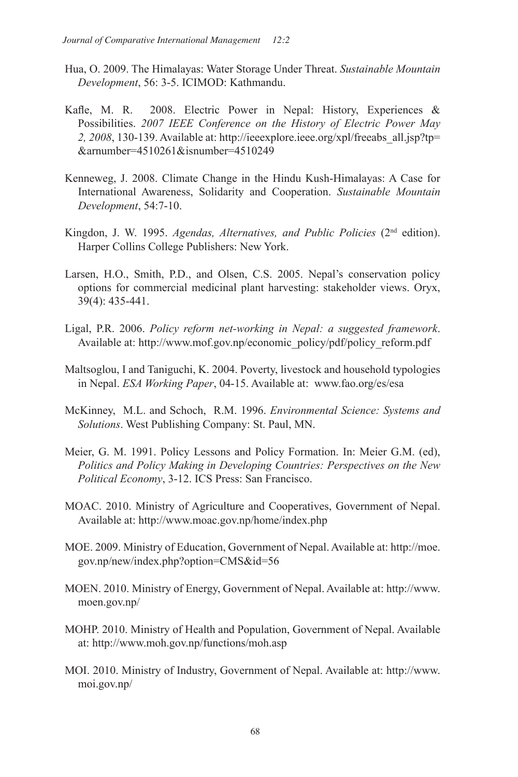- Hua, O. 2009. The Himalayas: Water Storage Under Threat. *Sustainable Mountain Development*, 56: 3-5. ICIMOD: Kathmandu.
- Kafle, M. R. 2008. Electric Power in Nepal: History, Experiences & Possibilities. *2007 IEEE Conference on the History of Electric Power May 2, 2008*, 130-139. Available at: http://ieeexplore.ieee.org/xpl/freeabs\_all.jsp?tp= &arnumber=4510261&isnumber=4510249
- Kenneweg, J. 2008. Climate Change in the Hindu Kush-Himalayas: A Case for International Awareness, Solidarity and Cooperation. *Sustainable Mountain Development*, 54:7-10.
- Kingdon, J. W. 1995. *Agendas, Alternatives, and Public Policies* (2nd edition). Harper Collins College Publishers: New York.
- Larsen, H.O., Smith, P.D., and Olsen, C.S. 2005. Nepal's conservation policy options for commercial medicinal plant harvesting: stakeholder views. Oryx, 39(4): 435-441.
- Ligal, P.R. 2006. *Policy reform net-working in Nepal: a suggested framework*. Available at: http://www.mof.gov.np/economic\_policy/pdf/policy\_reform.pdf
- Maltsoglou, I and Taniguchi, K. 2004. Poverty, livestock and household typologies in Nepal. *ESA Working Paper*, 04-15. Available at: www.fao.org/es/esa
- McKinney, M.L. and Schoch, R.M. 1996. *Environmental Science: Systems and Solutions*. West Publishing Company: St. Paul, MN.
- Meier, G. M. 1991. Policy Lessons and Policy Formation. In: Meier G.M. (ed), *Politics and Policy Making in Developing Countries: Perspectives on the New Political Economy*, 3-12. ICS Press: San Francisco.
- MOAC. 2010. Ministry of Agriculture and Cooperatives, Government of Nepal. Available at: http://www.moac.gov.np/home/index.php
- MOE. 2009. Ministry of Education, Government of Nepal. Available at: http://moe. gov.np/new/index.php?option=CMS&id=56
- MOEN. 2010. Ministry of Energy, Government of Nepal. Available at: http://www. moen.gov.np/
- MOHP. 2010. Ministry of Health and Population, Government of Nepal. Available at: http://www.moh.gov.np/functions/moh.asp
- MOI. 2010. Ministry of Industry, Government of Nepal. Available at: http://www. moi.gov.np/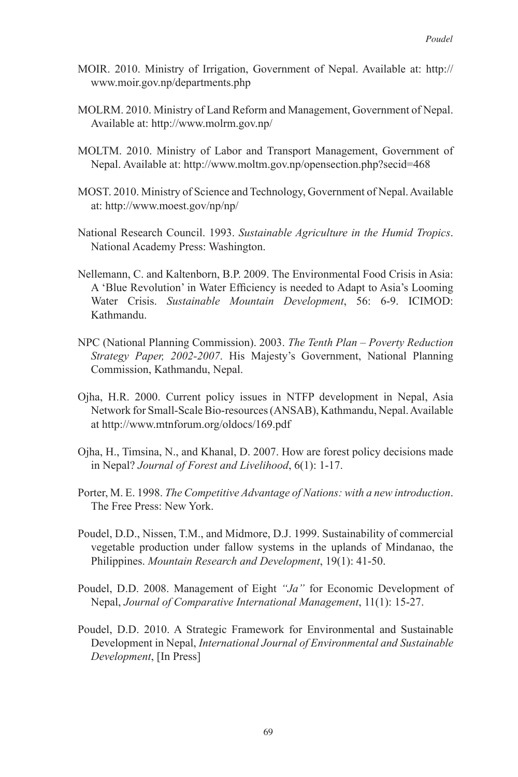- MOIR. 2010. Ministry of Irrigation, Government of Nepal. Available at: http:// www.moir.gov.np/departments.php
- MOLRM. 2010. Ministry of Land Reform and Management, Government of Nepal. Available at: http://www.molrm.gov.np/
- MOLTM. 2010. Ministry of Labor and Transport Management, Government of Nepal. Available at: http://www.moltm.gov.np/opensection.php?secid=468
- MOST. 2010. Ministry of Science and Technology, Government of Nepal. Available at: http://www.moest.gov/np/np/
- National Research Council. 1993. *Sustainable Agriculture in the Humid Tropics*. National Academy Press: Washington.
- Nellemann, C. and Kaltenborn, B.P. 2009. The Environmental Food Crisis in Asia: A 'Blue Revolution' in Water Efficiency is needed to Adapt to Asia's Looming Water Crisis. *Sustainable Mountain Development*, 56: 6-9. ICIMOD: Kathmandu.
- NPC (National Planning Commission). 2003. *The Tenth Plan Poverty Reduction Strategy Paper, 2002-2007*. His Majesty's Government, National Planning Commission, Kathmandu, Nepal.
- Ojha, H.R. 2000. Current policy issues in NTFP development in Nepal, Asia Network for Small-Scale Bio-resources (ANSAB), Kathmandu, Nepal. Available at http://www.mtnforum.org/oldocs/169.pdf
- Ojha, H., Timsina, N., and Khanal, D. 2007. How are forest policy decisions made in Nepal? *Journal of Forest and Livelihood*, 6(1): 1-17.
- Porter, M. E. 1998. *The Competitive Advantage of Nations: with a new introduction*. The Free Press: New York.
- Poudel, D.D., Nissen, T.M., and Midmore, D.J. 1999. Sustainability of commercial vegetable production under fallow systems in the uplands of Mindanao, the Philippines. *Mountain Research and Development*, 19(1): 41-50.
- Poudel, D.D. 2008. Management of Eight *"Ja"* for Economic Development of Nepal, *Journal of Comparative International Management*, 11(1): 15-27.
- Poudel, D.D. 2010. A Strategic Framework for Environmental and Sustainable Development in Nepal, *International Journal of Environmental and Sustainable Development*, [In Press]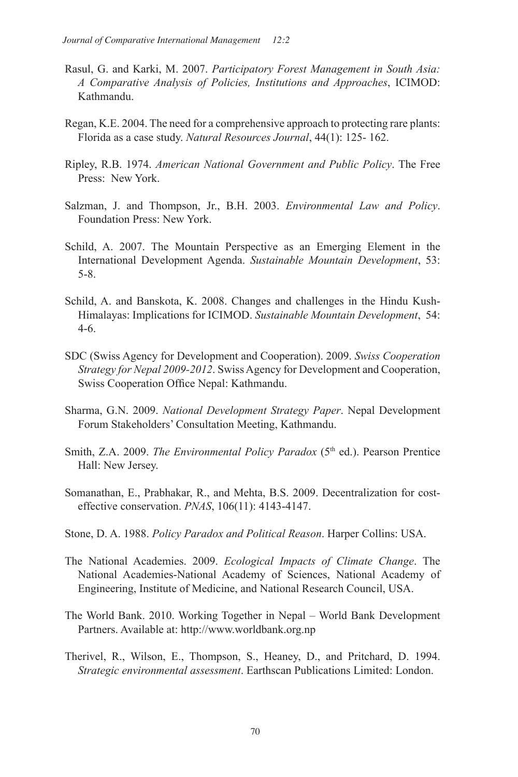- Rasul, G. and Karki, M. 2007. *Participatory Forest Management in South Asia: A Comparative Analysis of Policies, Institutions and Approaches*, ICIMOD: Kathmandu.
- Regan, K.E. 2004. The need for a comprehensive approach to protecting rare plants: Florida as a case study. *Natural Resources Journal*, 44(1): 125- 162.
- Ripley, R.B. 1974. *American National Government and Public Policy*. The Free Press: New York.
- Salzman, J. and Thompson, Jr., B.H. 2003. *Environmental Law and Policy*. Foundation Press: New York.
- Schild, A. 2007. The Mountain Perspective as an Emerging Element in the International Development Agenda. *Sustainable Mountain Development*, 53: 5-8.
- Schild, A. and Banskota, K. 2008. Changes and challenges in the Hindu Kush- Himalayas: Implications for ICIMOD. *Sustainable Mountain Development*, 54: 4-6.
- SDC (Swiss Agency for Development and Cooperation). 2009. *Swiss Cooperation Strategy for Nepal 2009-2012*. Swiss Agency for Development and Cooperation, Swiss Cooperation Office Nepal: Kathmandu.
- Sharma, G.N. 2009. *National Development Strategy Paper*. Nepal Development Forum Stakeholders' Consultation Meeting, Kathmandu.
- Smith, Z.A. 2009. *The Environmental Policy Paradox* (5<sup>th</sup> ed.). Pearson Prentice Hall: New Jersey.
- Somanathan, E., Prabhakar, R., and Mehta, B.S. 2009. Decentralization for costeffective conservation. *PNAS*, 106(11): 4143-4147.
- Stone, D. A. 1988. *Policy Paradox and Political Reason*. Harper Collins: USA.
- The National Academies. 2009. *Ecological Impacts of Climate Change*. The National Academies-National Academy of Sciences, National Academy of Engineering, Institute of Medicine, and National Research Council, USA.
- The World Bank. 2010. Working Together in Nepal World Bank Development Partners. Available at: http://www.worldbank.org.np
- Therivel, R., Wilson, E., Thompson, S., Heaney, D., and Pritchard, D. 1994. *Strategic environmental assessment*. Earthscan Publications Limited: London.